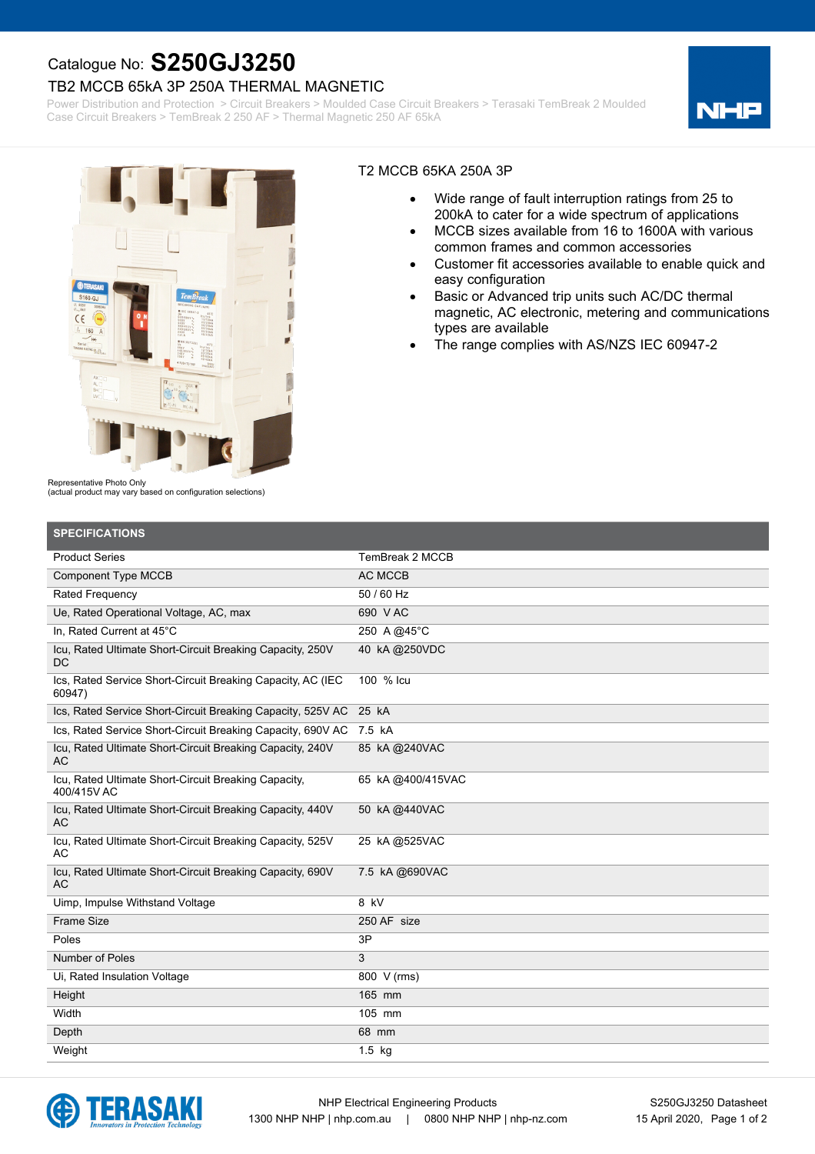## Catalogue No: **S250GJ3250**

### TB2 MCCB 65kA 3P 250A THERMAL MAGNETIC

Power Distribution and Protection > Circuit Breakers > Moulded Case Circuit Breakers > Terasaki TemBreak 2 Moulded Case Circuit Breakers > TemBreak 2 250 AF > Thermal Magnetic 250 AF 65kA

NH



#### T2 MCCB 65KA 250A 3P

- · Wide range of fault interruption ratings from 25 to 200kA to cater for a wide spectrum of applications
- MCCB sizes available from 16 to 1600A with various common frames and common accessories
- Customer fit accessories available to enable quick and easy configuration
- Basic or Advanced trip units such AC/DC thermal magnetic, AC electronic, metering and communications types are available
- The range complies with AS/NZS IEC 60947-2

Representative Photo Only

(actual product may vary based on configuration selections)

| <b>SPECIFICATIONS</b>                                                  |                   |
|------------------------------------------------------------------------|-------------------|
| <b>Product Series</b>                                                  | TemBreak 2 MCCB   |
| <b>Component Type MCCB</b>                                             | <b>AC MCCB</b>    |
| <b>Rated Frequency</b>                                                 | 50 / 60 Hz        |
| Ue, Rated Operational Voltage, AC, max                                 | 690 VAC           |
| In. Rated Current at 45°C                                              | 250 A @45°C       |
| Icu, Rated Ultimate Short-Circuit Breaking Capacity, 250V<br><b>DC</b> | 40 kA@250VDC      |
| Ics, Rated Service Short-Circuit Breaking Capacity, AC (IEC<br>60947)  | 100 % Icu         |
| Ics, Rated Service Short-Circuit Breaking Capacity, 525V AC            | 25 kA             |
| Ics, Rated Service Short-Circuit Breaking Capacity, 690V AC 7.5 kA     |                   |
| Icu, Rated Ultimate Short-Circuit Breaking Capacity, 240V<br><b>AC</b> | 85 kA @240VAC     |
| Icu, Rated Ultimate Short-Circuit Breaking Capacity,<br>400/415V AC    | 65 KA @400/415VAC |
| Icu, Rated Ultimate Short-Circuit Breaking Capacity, 440V<br><b>AC</b> | 50 kA @440VAC     |
| Icu, Rated Ultimate Short-Circuit Breaking Capacity, 525V<br>AC        | 25 kA @525VAC     |
| Icu, Rated Ultimate Short-Circuit Breaking Capacity, 690V<br><b>AC</b> | 7.5 kA @690VAC    |
| Uimp, Impulse Withstand Voltage                                        | 8 kV              |
| Frame Size                                                             | 250 AF size       |
| Poles                                                                  | 3P                |
| Number of Poles                                                        | 3                 |
| Ui, Rated Insulation Voltage                                           | 800 V (rms)       |
| Height                                                                 | 165 mm            |
| Width                                                                  | 105 mm            |
| Depth                                                                  | 68 mm             |
| Weight                                                                 | 1.5 kg            |